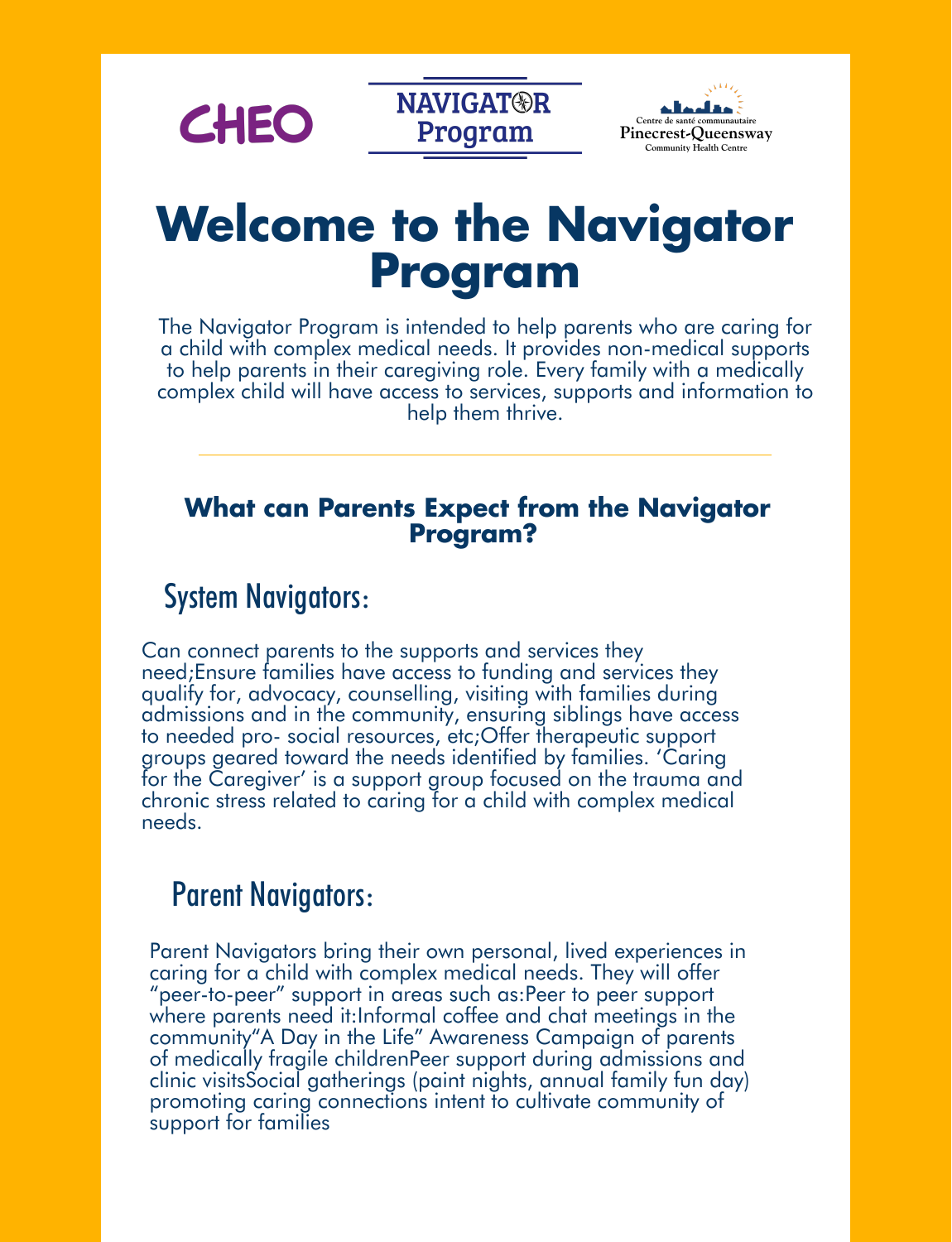

**NAVIGAT®R** Program



# **Welcome to the Navigator Program**

The Navigator Program is intended to help parents who are caring for a child with complex medical needs. It provides non-medical supports to help parents in their caregiving role. Every family with a medically complex child will have access to services, supports and information to help them thrive.

#### **What can Parents Expect from the Navigator Program?**

# System Navigators:

Can connect parents to the supports and services they need;Ensure families have access to funding and services they qualify for, advocacy, counselling, visiting with families during admissions and in the community, ensuring siblings have access to needed pro- social resources, etc;Offer therapeutic support groups geared toward the needs identified by families. 'Caring for the Caregiver' is a support group focused on the trauma and chronic stress related to caring for a child with complex medical needs.

# Parent Navigators:

Parent Navigators bring their own personal, lived experiences in caring for a child with complex medical needs. They will offer "peer-to-peer" support in areas such as:Peer to peer support where parents need it:Informal coffee and chat meetings in the community"A Day in the Life" Awareness Campaign of parents of medically fragile childrenPeer support during admissions and clinic visitsSocial gatherings (paint nights, annual family fun day) promoting caring connections intent to cultivate community of support for families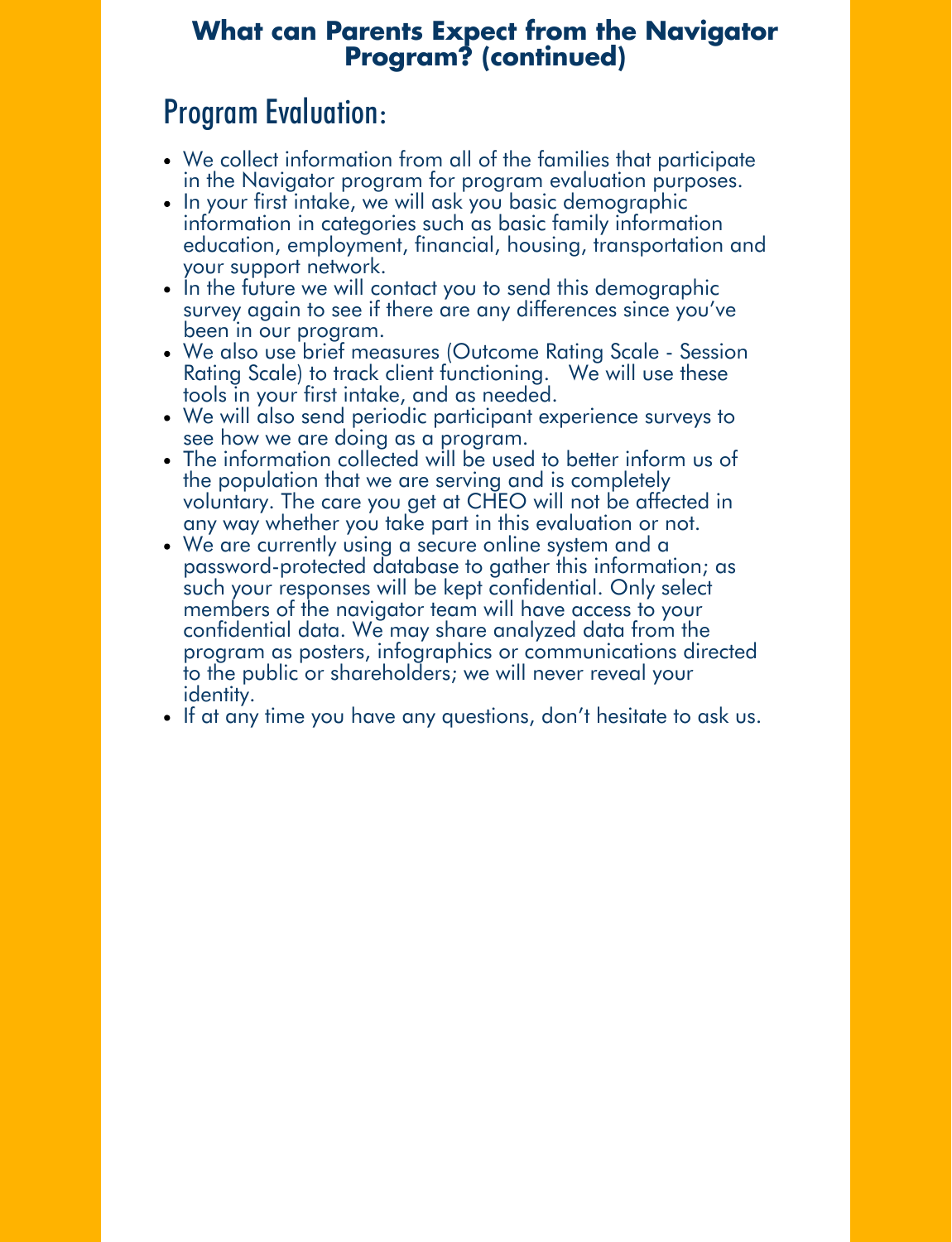### **What can Parents Expect from the Navigator Program? (continued)**

# Program Evaluation:

- We collect information from all of the families that participate in the Navigator program for program evaluation purposes.
- In your first intake, we will ask you basic demographic information in categories such as basic family information education, employment, financial, housing, transportation and your support network.
- In the future we will contact you to send this demographic survey again to see if there are any differences since you've been in our program.
- We also use brief measures (Outcome Rating Scale Session Rating Scale) to track client functioning. We will use these tools in your first intake, and as needed.
- We will also send periodic participant experience surveys to see how we are doing as a program.
- The information collected will be used to better inform us of the population that we are serving and is completely voluntary. The care you get at CHEO will not be affected in any way whether you take part in this evaluation or not.
- We are currently using a secure online system and a password-protected database to gather this information; as such your responses will be kept confidential. Only select members of the navigator team will have access to your confidential data. We may share analyzed data from the program as posters, infographics or communications directed to the public or shareholders; we will never reveal your identity.
- If at any time you have any questions, don't hesitate to ask us.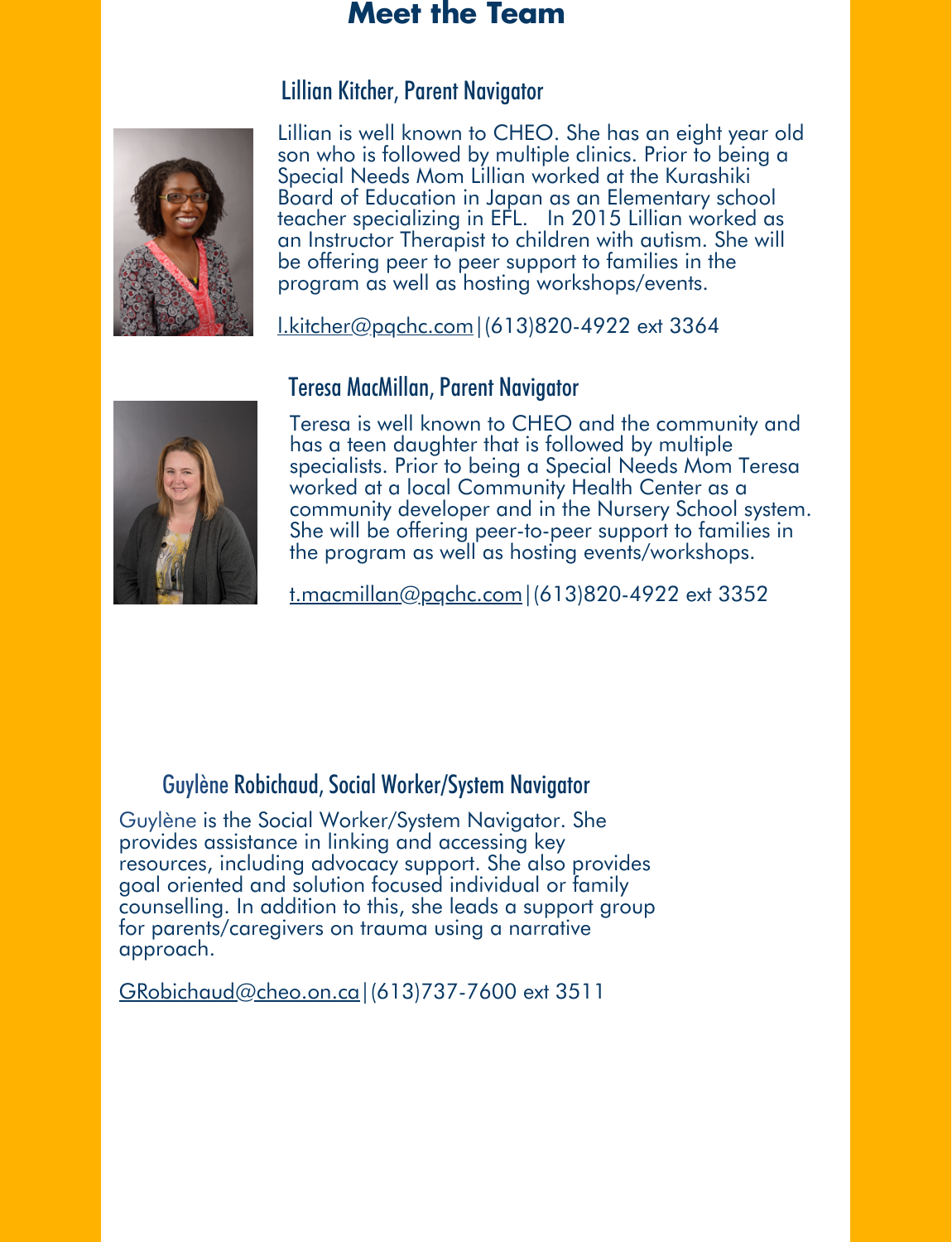### **Meet the Team**

#### Lillian Kitcher, Parent Navigator



[Lillian is well known to CHEO. She has an eight year old](mailto:l.kitcher@pqchc.com) son who is followed by multiple clinics. Prior to being a Special Needs Mom Lillian worked at the Kurashiki Board of Education in Japan as an Elementary school teacher specializing in EFL. In 2015 Lillian worked as an Instructor Therapist to children with autism. She will be offering peer to peer support to families in the program as well as hosting workshops/events.

l.kitcher@pqchc.com|(613)820-4922 ext 3364



#### Teresa MacMillan, Parent Navigator

Teresa is well known to CHEO and the community and has a teen daughter that is followed by multiple specialists. Prior to being a Special Needs Mom Teresa worked at a local Community Health Center as a [community developer and in the Nursery School system.](mailto:t.macmillan@pqchc.com)  She will be offering peer-to-peer support to families in the program as well as hosting events/workshops.

t.macmillan@pqchc.com|(613)820-4922 ext 3352

#### Guylène Robichaud, Social Worker/System Navigator

Guylène is the Social Worker/System Navigator. She provides assistance in linking and accessing key resources, including advocacy support. She also provides goal oriented and solution focused individual or family [counselling. In addition to this, she leads a support group](mailto:CLaRiccia@cheo.on.ca) for parents/caregivers on trauma using a narrative approach.

GRobichaud@cheo.on.ca|(613)737-7600 ext 3511